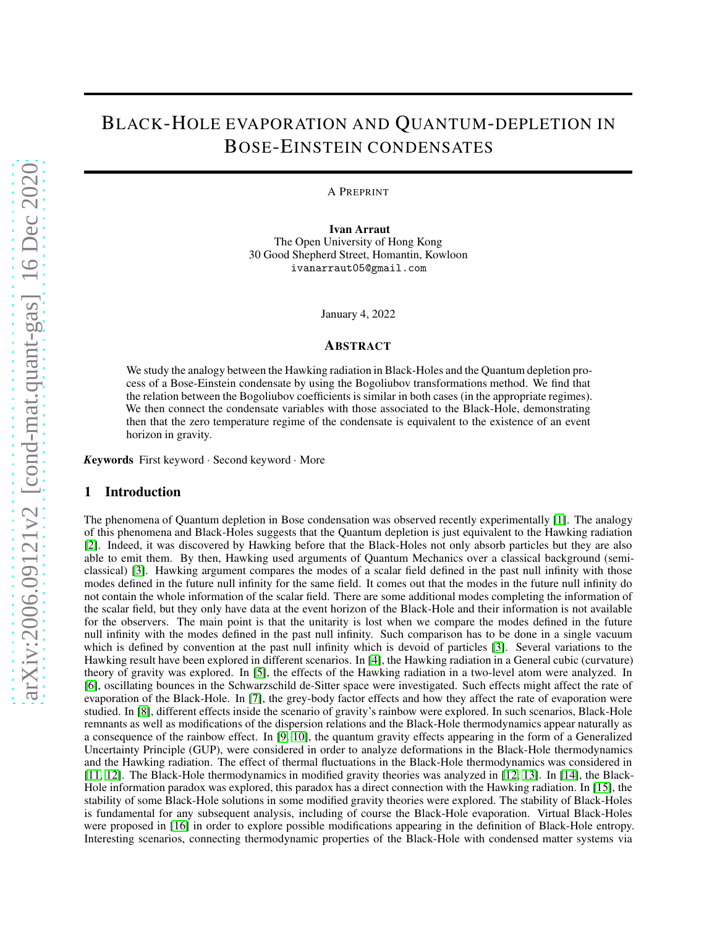# BLACK-HOLE EVAPORATION AND QUANTUM-DEPLETION IN BOSE-EINSTEIN CONDENSATES

A PREPRINT

Ivan Arraut The Open University of Hong Kong 30 Good Shepherd Street, Homantin, Kowloon ivanarraut05@gmail.com

January 4, 2022

## ABSTRACT

We study the analogy between the Hawking radiation in Black-Holes and the Quantum depletion process of a Bose-Einstein condensate by using the Bogoliubov transformations method. We find that the relation between the Bogoliubov coefficients is similar in both cases (in the appropriate regimes). We then connect the condensate variables with those associated to the Black-Hole, demonstrating then that the zero temperature regime of the condensate is equivalent to the existence of an event horizon in gravity.

*<sup>K</sup>*eywords First keyword · Second keyword · More

## 1 Introduction

The phenomena of Quantum depletion in Bose condensation was observed recently experimentally [\[1\]](#page-6-0). The analogy of this phenomena and Black-Holes suggests that the Quantum depletion is just equivalent to the Hawking radiation [\[2\]](#page-6-1). Indeed, it was discovered by Hawking before that the Black-Holes not only absorb particles but they are also able to emit them. By then, Hawking used arguments of Quantum Mechanics over a classical background (semiclassical) [\[3\]](#page-6-2). Hawking argument compares the modes of a scalar field defined in the past null infinity with those modes defined in the future null infinity for the same field. It comes out that the modes in the future null infinity do not contain the whole information of the scalar field. There are some additional modes completing the information of the scalar field, but they only have data at the event horizon of the Black-Hole and their information is not available for the observers. The main point is that the unitarity is lost when we compare the modes defined in the future null infinity with the modes defined in the past null infinity. Such comparison has to be done in a single vacuum which is defined by convention at the past null infinity which is devoid of particles [\[3\]](#page-6-2). Several variations to the Hawking result have been explored in different scenarios. In [\[4\]](#page-6-3), the Hawking radiation in a General cubic (curvature) theory of gravity was explored. In [\[5\]](#page-6-4), the effects of the Hawking radiation in a two-level atom were analyzed. In [\[6\]](#page-6-5), oscillating bounces in the Schwarzschild de-Sitter space were investigated. Such effects might affect the rate of evaporation of the Black-Hole. In [\[7\]](#page-6-6), the grey-body factor effects and how they affect the rate of evaporation were studied. In [\[8\]](#page-6-7), different effects inside the scenario of gravity's rainbow were explored. In such scenarios, Black-Hole remnants as well as modifications of the dispersion relations and the Black-Hole thermodynamics appear naturally as a consequence of the rainbow effect. In [\[9,](#page-6-8) [10\]](#page-6-9), the quantum gravity effects appearing in the form of a Generalized Uncertainty Principle (GUP), were considered in order to analyze deformations in the Black-Hole thermodynamics and the Hawking radiation. The effect of thermal fluctuations in the Black-Hole thermodynamics was considered in [\[11,](#page-6-10) [12\]](#page-6-11). The Black-Hole thermodynamics in modified gravity theories was analyzed in [\[12,](#page-6-11) [13\]](#page-7-0). In [\[14\]](#page-7-1), the Black-Hole information paradox was explored, this paradox has a direct connection with the Hawking radiation. In [\[15\]](#page-7-2), the stability of some Black-Hole solutions in some modified gravity theories were explored. The stability of Black-Holes is fundamental for any subsequent analysis, including of course the Black-Hole evaporation. Virtual Black-Holes were proposed in [\[16\]](#page-7-3) in order to explore possible modifications appearing in the definition of Black-Hole entropy. Interesting scenarios, connecting thermodynamic properties of the Black-Hole with condensed matter systems via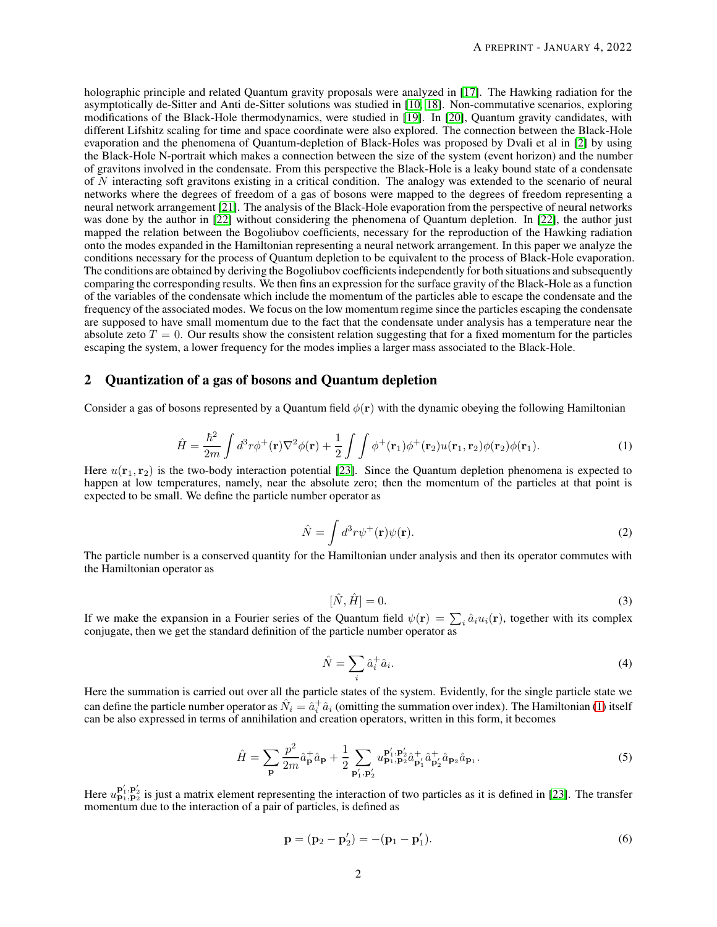holographic principle and related Quantum gravity proposals were analyzed in [\[17\]](#page-7-4). The Hawking radiation for the asymptotically de-Sitter and Anti de-Sitter solutions was studied in [\[10,](#page-6-9) [18\]](#page-7-5). Non-commutative scenarios, exploring modifications of the Black-Hole thermodynamics, were studied in [\[19\]](#page-7-6). In [\[20\]](#page-7-7), Quantum gravity candidates, with different Lifshitz scaling for time and space coordinate were also explored. The connection between the Black-Hole evaporation and the phenomena of Quantum-depletion of Black-Holes was proposed by Dvali et al in [\[2\]](#page-6-1) by using the Black-Hole N-portrait which makes a connection between the size of the system (event horizon) and the number of gravitons involved in the condensate. From this perspective the Black-Hole is a leaky bound state of a condensate of N interacting soft gravitons existing in a critical condition. The analogy was extended to the scenario of neural networks where the degrees of freedom of a gas of bosons were mapped to the degrees of freedom representing a neural network arrangement [\[21\]](#page-7-8). The analysis of the Black-Hole evaporation from the perspective of neural networks was done by the author in [\[22\]](#page-7-9) without considering the phenomena of Quantum depletion. In [22], the author just mapped the relation between the Bogoliubov coefficients, necessary for the reproduction of the Hawking radiation onto the modes expanded in the Hamiltonian representing a neural network arrangement. In this paper we analyze the conditions necessary for the process of Quantum depletion to be equivalent to the process of Black-Hole evaporation. The conditions are obtained by deriving the Bogoliubov coefficients independently for both situations and subsequently comparing the corresponding results. We then fins an expression for the surface gravity of the Black-Hole as a function of the variables of the condensate which include the momentum of the particles able to escape the condensate and the frequency of the associated modes. We focus on the low momentum regime since the particles escaping the condensate are supposed to have small momentum due to the fact that the condensate under analysis has a temperature near the absolute zeto  $T = 0$ . Our results show the consistent relation suggesting that for a fixed momentum for the particles escaping the system, a lower frequency for the modes implies a larger mass associated to the Black-Hole.

# 2 Quantization of a gas of bosons and Quantum depletion

Consider a gas of bosons represented by a Quantum field  $\phi(\mathbf{r})$  with the dynamic obeying the following Hamiltonian

<span id="page-1-0"></span>
$$
\hat{H} = \frac{\hbar^2}{2m} \int d^3r \phi^+(\mathbf{r}) \nabla^2 \phi(\mathbf{r}) + \frac{1}{2} \int \int \phi^+(\mathbf{r}_1) \phi^+(\mathbf{r}_2) u(\mathbf{r}_1, \mathbf{r}_2) \phi(\mathbf{r}_2) \phi(\mathbf{r}_1).
$$
\n(1)

Here  $u(\mathbf{r}_1, \mathbf{r}_2)$  is the two-body interaction potential [\[23\]](#page-7-10). Since the Quantum depletion phenomena is expected to happen at low temperatures, namely, near the absolute zero; then the momentum of the particles at that point is expected to be small. We define the particle number operator as

$$
\hat{N} = \int d^3r \psi^+(\mathbf{r}) \psi(\mathbf{r}).
$$
\n(2)

The particle number is a conserved quantity for the Hamiltonian under analysis and then its operator commutes with the Hamiltonian operator as

$$
[\hat{N}, \hat{H}] = 0. \tag{3}
$$

If we make the expansion in a Fourier series of the Quantum field  $\psi(\mathbf{r}) = \sum_i \hat{a}_i u_i(\mathbf{r})$ , together with its complex conjugate, then we get the standard definition of the particle number operator as

$$
\hat{N} = \sum_{i} \hat{a}_i^+ \hat{a}_i. \tag{4}
$$

Here the summation is carried out over all the particle states of the system. Evidently, for the single particle state we can define the particle number operator as  $\hat{N}_i = \hat{a}_i^{\dagger} \hat{a}_i$  (omitting the summation over index). The Hamiltonian [\(1\)](#page-1-0) itself can be also expressed in terms of annihilation and creation operators, written in this form, it becomes

<span id="page-1-1"></span>
$$
\hat{H} = \sum_{\mathbf{p}} \frac{p^2}{2m} \hat{a}_{\mathbf{p}}^+ \hat{a}_{\mathbf{p}} + \frac{1}{2} \sum_{\mathbf{p}_1', \mathbf{p}_2'} u_{\mathbf{p}_1, \mathbf{p}_2}^{\mathbf{p}_1', \mathbf{p}_2'} \hat{a}_{\mathbf{p}_1'}^+ \hat{a}_{\mathbf{p}_2}^+ \hat{a}_{\mathbf{p}_2} \hat{a}_{\mathbf{p}_1}.
$$
\n(5)

Here  $u_{\mathbf{p}_1,\mathbf{p}_2}^{\mathbf{p}'_1,\mathbf{p}'_2}$  is just a matrix element representing the interaction of two particles as it is defined in [\[23\]](#page-7-10). The transfer momentum due to the interaction of a pair of particles, is defined as

$$
\mathbf{p} = (\mathbf{p}_2 - \mathbf{p}'_2) = -(\mathbf{p}_1 - \mathbf{p}'_1). \tag{6}
$$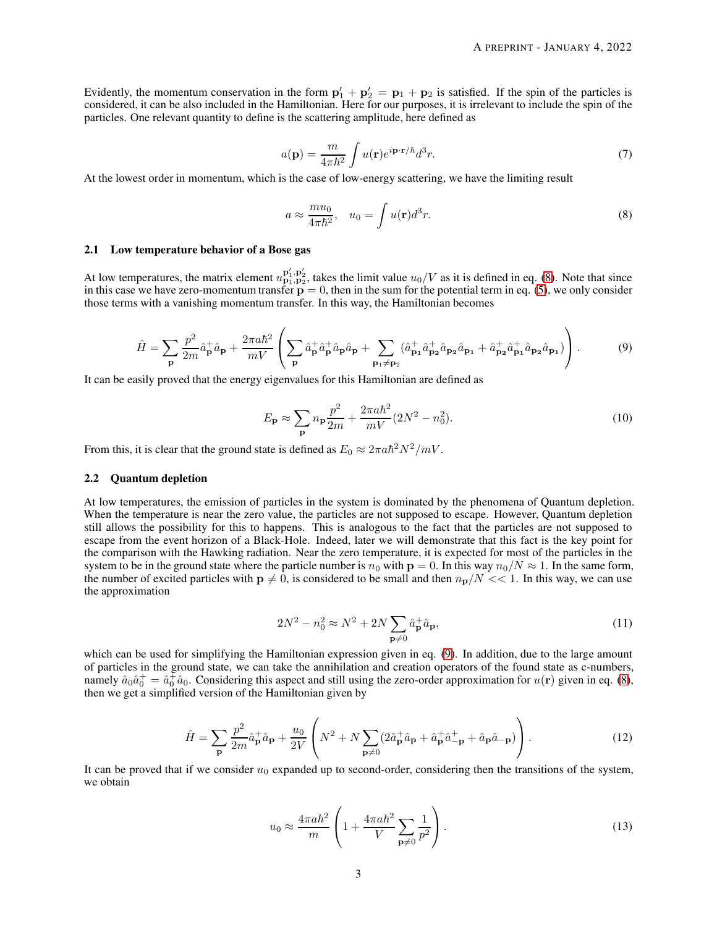Evidently, the momentum conservation in the form  $p'_1 + p'_2 = p_1 + p_2$  is satisfied. If the spin of the particles is considered, it can be also included in the Hamiltonian. Here for our purposes, it is irrelevant to include the spin of the particles. One relevant quantity to define is the scattering amplitude, here defined as

$$
a(\mathbf{p}) = \frac{m}{4\pi\hbar^2} \int u(\mathbf{r}) e^{i\mathbf{p}\cdot\mathbf{r}/\hbar} d^3r.
$$
 (7)

At the lowest order in momentum, which is the case of low-energy scattering, we have the limiting result

<span id="page-2-0"></span>
$$
a \approx \frac{m u_0}{4\pi \hbar^2}, \quad u_0 = \int u(\mathbf{r}) d^3 r. \tag{8}
$$

## 2.1 Low temperature behavior of a Bose gas

At low temperatures, the matrix element  $u_{p_1,p_2}^{p'_1,p'_2}$ , takes the limit value  $u_0/V$  as it is defined in eq. [\(8\)](#page-2-0). Note that since in this case we have zero-momentum transfer  $p = 0$ , then in the sum for the potential term in eq. [\(5\)](#page-1-1), we only consider those terms with a vanishing momentum transfer. In this way, the Hamiltonian becomes

<span id="page-2-1"></span>
$$
\hat{H} = \sum_{\mathbf{p}} \frac{p^2}{2m} \hat{a}_{\mathbf{p}}^+ \hat{a}_{\mathbf{p}} + \frac{2\pi a \hbar^2}{mV} \left( \sum_{\mathbf{p}} \hat{a}_{\mathbf{p}}^+ \hat{a}_{\mathbf{p}}^+ \hat{a}_{\mathbf{p}} \hat{a}_{\mathbf{p}} + \sum_{\mathbf{p}_1 \neq \mathbf{p}_2} (\hat{a}_{\mathbf{p}_1}^+ \hat{a}_{\mathbf{p}_2}^+ \hat{a}_{\mathbf{p}_2} \hat{a}_{\mathbf{p}_1} + \hat{a}_{\mathbf{p}_2}^+ \hat{a}_{\mathbf{p}_1}^+ \hat{a}_{\mathbf{p}_2} \hat{a}_{\mathbf{p}_1}) \right).
$$
(9)

It can be easily proved that the energy eigenvalues for this Hamiltonian are defined as

$$
E_{\mathbf{p}} \approx \sum_{\mathbf{p}} n_{\mathbf{p}} \frac{p^2}{2m} + \frac{2\pi a \hbar^2}{mV} (2N^2 - n_0^2).
$$
 (10)

From this, it is clear that the ground state is defined as  $E_0 \approx 2\pi a \hbar^2 N^2 / mV$ .

#### 2.2 Quantum depletion

At low temperatures, the emission of particles in the system is dominated by the phenomena of Quantum depletion. When the temperature is near the zero value, the particles are not supposed to escape. However, Quantum depletion still allows the possibility for this to happens. This is analogous to the fact that the particles are not supposed to escape from the event horizon of a Black-Hole. Indeed, later we will demonstrate that this fact is the key point for the comparison with the Hawking radiation. Near the zero temperature, it is expected for most of the particles in the system to be in the ground state where the particle number is  $n_0$  with  $p = 0$ . In this way  $n_0/N \approx 1$ . In the same form, the number of excited particles with  $p \neq 0$ , is considered to be small and then  $n_p/N \ll 1$ . In this way, we can use the approximation

$$
2N^2 - n_0^2 \approx N^2 + 2N \sum_{\mathbf{p} \neq 0} \hat{a}_{\mathbf{p}}^+ \hat{a}_{\mathbf{p}},\tag{11}
$$

which can be used for simplifying the Hamiltonian expression given in eq. [\(9\)](#page-2-1). In addition, due to the large amount of particles in the ground state, we can take the annihilation and creation operators of the found state as c-numbers, namely  $\hat{a}_0 \hat{a}_0^+ = \hat{a}_0^+ \hat{a}_0$ . Considering this aspect and still using the zero-order approximation for  $u(\mathbf{r})$  given in eq. [\(8\)](#page-2-0), then we get a simplified version of the Hamiltonian given by

<span id="page-2-2"></span>
$$
\hat{H} = \sum_{\mathbf{p}} \frac{p^2}{2m} \hat{a}_{\mathbf{p}}^+ \hat{a}_{\mathbf{p}} + \frac{u_0}{2V} \left( N^2 + N \sum_{\mathbf{p} \neq 0} (2\hat{a}_{\mathbf{p}}^+ \hat{a}_{\mathbf{p}} + \hat{a}_{\mathbf{p}}^+ \hat{a}_{-\mathbf{p}}^+ + \hat{a}_{\mathbf{p}} \hat{a}_{-\mathbf{p}}) \right).
$$
\n(12)

It can be proved that if we consider  $u_0$  expanded up to second-order, considering then the transitions of the system, we obtain

$$
u_0 \approx \frac{4\pi a\hbar^2}{m} \left( 1 + \frac{4\pi a\hbar^2}{V} \sum_{\mathbf{p}\neq 0} \frac{1}{p^2} \right). \tag{13}
$$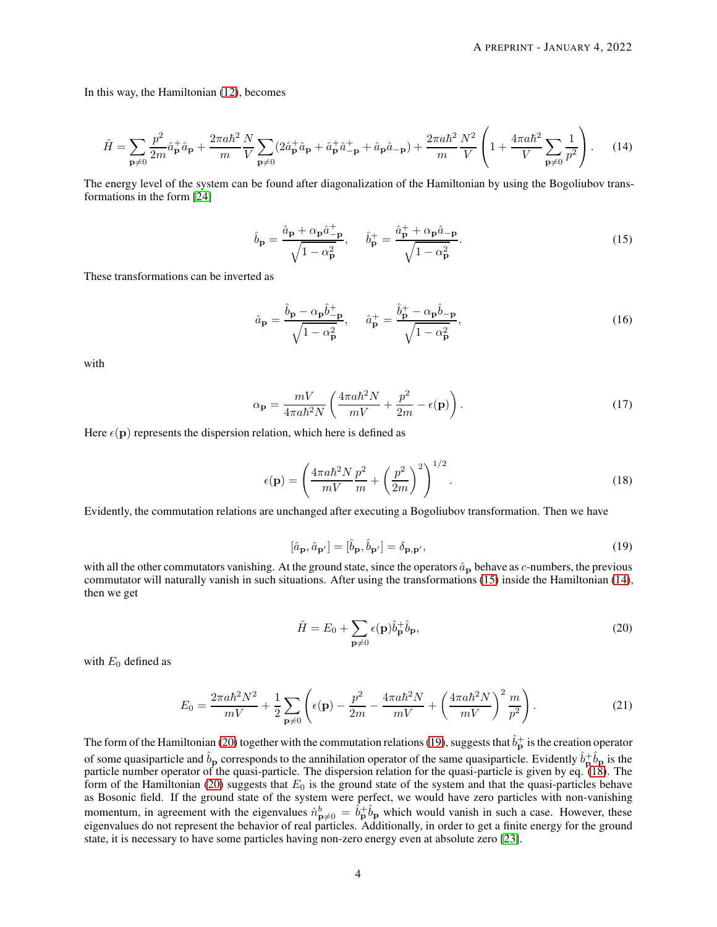In this way, the Hamiltonian [\(12\)](#page-2-2), becomes

<span id="page-3-1"></span>
$$
\hat{H} = \sum_{\mathbf{p}\neq 0} \frac{p^2}{2m} \hat{a}_{\mathbf{p}}^+ \hat{a}_{\mathbf{p}} + \frac{2\pi a \hbar^2}{m} \frac{N}{V} \sum_{\mathbf{p}\neq 0} (2\hat{a}_{\mathbf{p}}^+ \hat{a}_{\mathbf{p}} + \hat{a}_{\mathbf{p}}^+ \hat{a}_{-\mathbf{p}}^+) + \frac{2\pi a \hbar^2}{m} \frac{N^2}{V} \left( 1 + \frac{4\pi a \hbar^2}{V} \sum_{\mathbf{p}\neq 0} \frac{1}{p^2} \right). \tag{14}
$$

The energy level of the system can be found after diagonalization of the Hamiltonian by using the Bogoliubov transformations in the form [\[24\]](#page-7-11)

<span id="page-3-0"></span>
$$
\hat{b}_{\mathbf{p}} = \frac{\hat{a}_{\mathbf{p}} + \alpha_{\mathbf{p}} \hat{a}_{-\mathbf{p}}^{\dagger}}{\sqrt{1 - \alpha_{\mathbf{p}}^2}}, \quad \hat{b}_{\mathbf{p}}^+ = \frac{\hat{a}_{\mathbf{p}}^+ + \alpha_{\mathbf{p}} \hat{a}_{-\mathbf{p}}}{\sqrt{1 - \alpha_{\mathbf{p}}^2}}.
$$
\n(15)

These transformations can be inverted as

<span id="page-3-5"></span>
$$
\hat{a}_{\mathbf{p}} = \frac{\hat{b}_{\mathbf{p}} - \alpha_{\mathbf{p}} \hat{b}_{-\mathbf{p}}^{+}}{\sqrt{1 - \alpha_{\mathbf{p}}^{2}}}, \qquad \hat{a}_{\mathbf{p}}^{+} = \frac{\hat{b}_{\mathbf{p}}^{+} - \alpha_{\mathbf{p}} \hat{b}_{-\mathbf{p}}}{\sqrt{1 - \alpha_{\mathbf{p}}^{2}}},\tag{16}
$$

with

<span id="page-3-6"></span>
$$
\alpha_{\mathbf{p}} = \frac{mV}{4\pi a\hbar^2 N} \left( \frac{4\pi a\hbar^2 N}{mV} + \frac{p^2}{2m} - \epsilon(\mathbf{p}) \right). \tag{17}
$$

Here  $\epsilon(\mathbf{p})$  represents the dispersion relation, which here is defined as

<span id="page-3-4"></span>
$$
\epsilon(\mathbf{p}) = \left(\frac{4\pi a\hbar^2 N}{mV}\frac{p^2}{m} + \left(\frac{p^2}{2m}\right)^2\right)^{1/2}.\tag{18}
$$

Evidently, the commutation relations are unchanged after executing a Bogoliubov transformation. Then we have

<span id="page-3-3"></span>
$$
[\hat{a}_{\mathbf{p}}, \hat{a}_{\mathbf{p}'}] = [\hat{b}_{\mathbf{p}}, \hat{b}_{\mathbf{p}'}] = \delta_{\mathbf{p}, \mathbf{p}'},\tag{19}
$$

with all the other commutators vanishing. At the ground state, since the operators  $\hat{a}_{\bf p}$  behave as c-numbers, the previous commutator will naturally vanish in such situations. After using the transformations [\(15\)](#page-3-0) inside the Hamiltonian [\(14\)](#page-3-1), then we get

<span id="page-3-2"></span>
$$
\hat{H} = E_0 + \sum_{\mathbf{p} \neq 0} \epsilon(\mathbf{p}) \hat{b}_{\mathbf{p}}^{\dagger} \hat{b}_{\mathbf{p}},\tag{20}
$$

with  $E_0$  defined as

$$
E_0 = \frac{2\pi a\hbar^2 N^2}{mV} + \frac{1}{2} \sum_{\mathbf{p}\neq 0} \left( \epsilon(\mathbf{p}) - \frac{p^2}{2m} - \frac{4\pi a\hbar^2 N}{mV} + \left( \frac{4\pi a\hbar^2 N}{mV} \right)^2 \frac{m}{p^2} \right). \tag{21}
$$

The form of the Hamiltonian [\(20\)](#page-3-2) together with the commutation relations [\(19\)](#page-3-3), suggests that  $\hat{b}^+_{{\bf p}}$  is the creation operator of some quasiparticle and  $\hat{b}_p$  corresponds to the annihilation operator of the same quasiparticle. Evidently  $\hat{b}_p^+\hat{b}_p$  is the particle number operator of the quasi-particle. The dispersion relation for the quasi-particle is given by eq. [\(18\)](#page-3-4). The form of the Hamiltonian [\(20\)](#page-3-2) suggests that  $E_0$  is the ground state of the system and that the quasi-particles behave as Bosonic field. If the ground state of the system were perfect, we would have zero particles with non-vanishing momentum, in agreement with the eigenvalues  $\hat{n}^b_{\mathbf{p}\neq 0} = \hat{b}^{\dagger}_{\mathbf{p}} \hat{b}_{\mathbf{p}}$  which would vanish in such a case. However, these eigenvalues do not represent the behavior of real particles. Additionally, in order to get a finite energy for the ground state, it is necessary to have some particles having non-zero energy even at absolute zero [\[23\]](#page-7-10).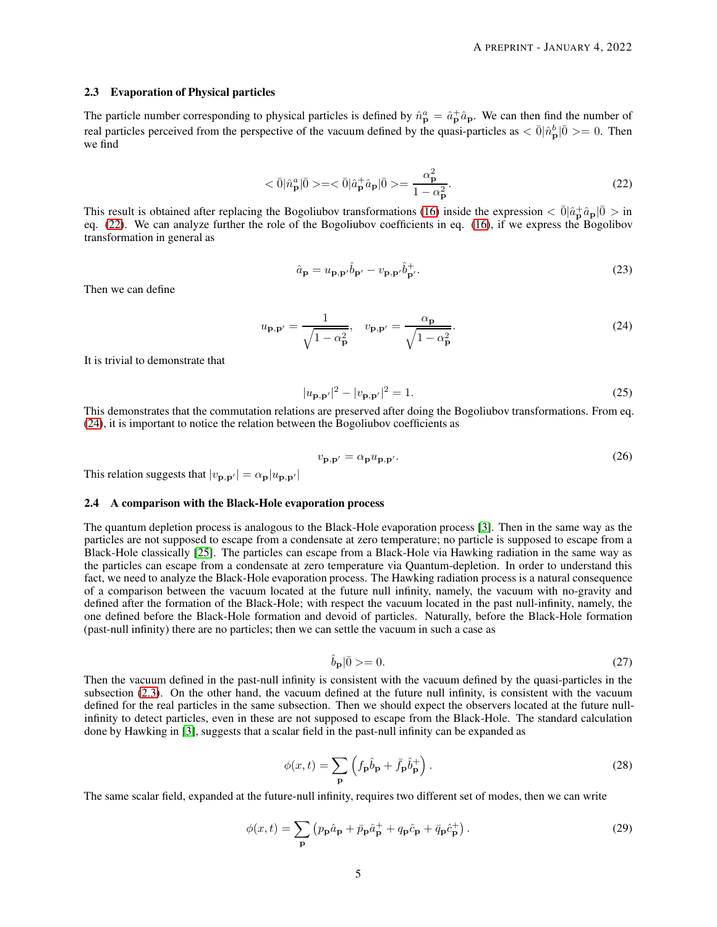#### <span id="page-4-2"></span>2.3 Evaporation of Physical particles

The particle number corresponding to physical particles is defined by  $\hat{n}^a_{\bf p} = \hat{a}^+_{\bf p} \hat{a}_{\bf p}$ . We can then find the number of real particles perceived from the perspective of the vacuum defined by the quasi-particles as  $\langle \bar{0} | \hat{n}_{\bf p}^b | \bar{0} \rangle = 0$ . Then we find

<span id="page-4-0"></span>
$$
\langle \bar{0} | \hat{n}_{\mathbf{p}}^{a} | \bar{0} \rangle = \langle \bar{0} | \hat{a}_{\mathbf{p}}^{+} \hat{a}_{\mathbf{p}} | \bar{0} \rangle = \frac{\alpha_{\mathbf{p}}^{2}}{1 - \alpha_{\mathbf{p}}^{2}}.
$$
\n(22)

This result is obtained after replacing the Bogoliubov transformations [\(16\)](#page-3-5) inside the expression  $\langle \bar{0} | \hat{a} + \hat{a}_{\mathbf{p}} | \bar{0} \rangle$  in eq. [\(22\)](#page-4-0). We can analyze further the role of the Bogoliubov coefficients in eq. [\(16\)](#page-3-5), if we express the Bogolibov transformation in general as

<span id="page-4-5"></span>
$$
\hat{a}_{\mathbf{p}} = u_{\mathbf{p}, \mathbf{p}'} \hat{b}_{\mathbf{p}'} - v_{\mathbf{p}, \mathbf{p}'} \hat{b}_{\mathbf{p}'}^+.
$$
\n(23)

Then we can define

<span id="page-4-1"></span>
$$
u_{\mathbf{p},\mathbf{p}'} = \frac{1}{\sqrt{1 - \alpha_{\mathbf{p}}^2}}, \quad v_{\mathbf{p},\mathbf{p}'} = \frac{\alpha_{\mathbf{p}}}{\sqrt{1 - \alpha_{\mathbf{p}}^2}}.
$$
(24)

It is trivial to demonstrate that

$$
|u_{\mathbf{p},\mathbf{p}'}|^2 - |v_{\mathbf{p},\mathbf{p}'}|^2 = 1.
$$
 (25)

This demonstrates that the commutation relations are preserved after doing the Bogoliubov transformations. From eq. [\(24\)](#page-4-1), it is important to notice the relation between the Bogoliubov coefficients as

$$
v_{\mathbf{p},\mathbf{p}'} = \alpha_{\mathbf{p}} u_{\mathbf{p},\mathbf{p}'}.\tag{26}
$$

This relation suggests that  $|v_{\mathbf{p},\mathbf{p}'}| = \alpha_{\mathbf{p}} |u_{\mathbf{p},\mathbf{p}'}|$ 

## 2.4 A comparison with the Black-Hole evaporation process

The quantum depletion process is analogous to the Black-Hole evaporation process [\[3\]](#page-6-2). Then in the same way as the particles are not supposed to escape from a condensate at zero temperature; no particle is supposed to escape from a Black-Hole classically [\[25\]](#page-7-12). The particles can escape from a Black-Hole via Hawking radiation in the same way as the particles can escape from a condensate at zero temperature via Quantum-depletion. In order to understand this fact, we need to analyze the Black-Hole evaporation process. The Hawking radiation process is a natural consequence of a comparison between the vacuum located at the future null infinity, namely, the vacuum with no-gravity and defined after the formation of the Black-Hole; with respect the vacuum located in the past null-infinity, namely, the one defined before the Black-Hole formation and devoid of particles. Naturally, before the Black-Hole formation (past-null infinity) there are no particles; then we can settle the vacuum in such a case as

$$
\hat{b}_{\mathbf{p}}|\bar{0}\rangle = 0.\tag{27}
$$

Then the vacuum defined in the past-null infinity is consistent with the vacuum defined by the quasi-particles in the subsection [\(2.3\)](#page-4-2). On the other hand, the vacuum defined at the future null infinity, is consistent with the vacuum defined for the real particles in the same subsection. Then we should expect the observers located at the future nullinfinity to detect particles, even in these are not supposed to escape from the Black-Hole. The standard calculation done by Hawking in [\[3\]](#page-6-2), suggests that a scalar field in the past-null infinity can be expanded as

<span id="page-4-3"></span>
$$
\phi(x,t) = \sum_{\mathbf{p}} \left( f_{\mathbf{p}} \hat{b}_{\mathbf{p}} + \bar{f}_{\mathbf{p}} \hat{b}_{\mathbf{p}}^{+} \right).
$$
 (28)

The same scalar field, expanded at the future-null infinity, requires two different set of modes, then we can write

<span id="page-4-4"></span>
$$
\phi(x,t) = \sum_{\mathbf{p}} \left( p_{\mathbf{p}} \hat{a}_{\mathbf{p}} + \bar{p}_{\mathbf{p}} \hat{a}_{\mathbf{p}}^{+} + q_{\mathbf{p}} \hat{c}_{\mathbf{p}} + \bar{q}_{\mathbf{p}} \hat{c}_{\mathbf{p}}^{+} \right).
$$
\n(29)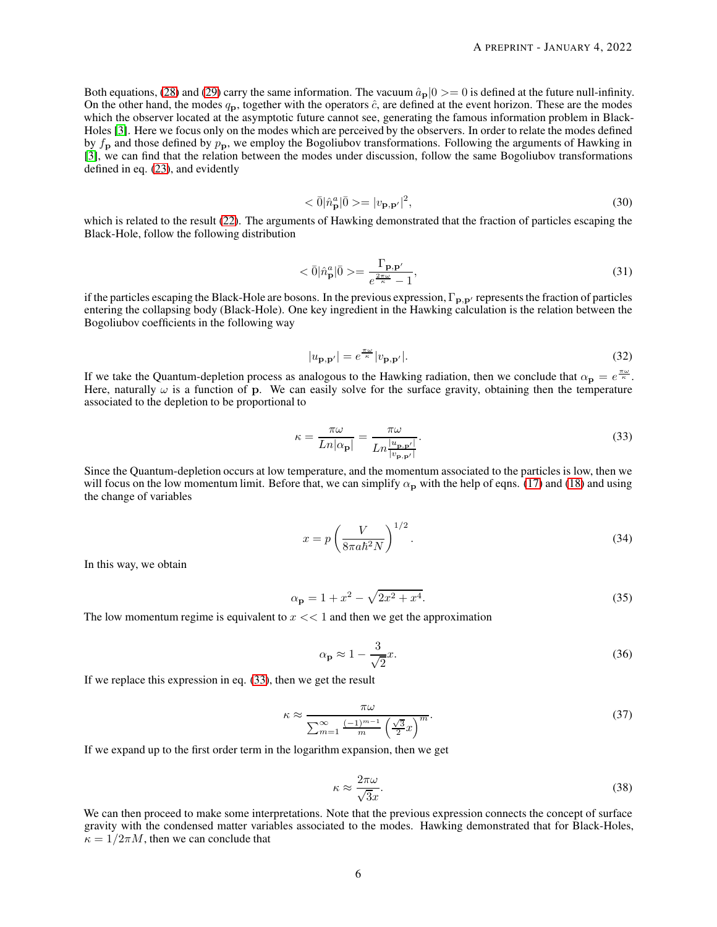Both equations, [\(28\)](#page-4-3) and [\(29\)](#page-4-4) carry the same information. The vacuum  $\hat{a}_p|0\rangle=0$  is defined at the future null-infinity. On the other hand, the modes  $q_p$ , together with the operators  $\hat{c}$ , are defined at the event horizon. These are the modes which the observer located at the asymptotic future cannot see, generating the famous information problem in Black-Holes [\[3\]](#page-6-2). Here we focus only on the modes which are perceived by the observers. In order to relate the modes defined by  $f_{\rm p}$  and those defined by  $p_{\rm p}$ , we employ the Bogoliubov transformations. Following the arguments of Hawking in [\[3\]](#page-6-2), we can find that the relation between the modes under discussion, follow the same Bogoliubov transformations defined in eq. [\(23\)](#page-4-5), and evidently

$$
\langle \bar{0} | \hat{n}_{\mathbf{p}}^a | \bar{0} \rangle = |v_{\mathbf{p}, \mathbf{p}'}|^2, \tag{30}
$$

which is related to the result [\(22\)](#page-4-0). The arguments of Hawking demonstrated that the fraction of particles escaping the Black-Hole, follow the following distribution

$$
\langle \bar{0} | \hat{n}_{\mathbf{p}}^{a} | \bar{0} \rangle = \frac{\Gamma_{\mathbf{p}, \mathbf{p}'} }{e^{\frac{2\pi \omega}{\kappa}} - 1},\tag{31}
$$

if the particles escaping the Black-Hole are bosons. In the previous expression,  $\Gamma_{\mathbf{p},\mathbf{p}'}$  represents the fraction of particles entering the collapsing body (Black-Hole). One key ingredient in the Hawking calculation is the relation between the Bogoliubov coefficients in the following way

$$
|u_{\mathbf{p},\mathbf{p}'}| = e^{\frac{\pi\omega}{\kappa}} |v_{\mathbf{p},\mathbf{p}'}|.
$$
 (32)

If we take the Quantum-depletion process as analogous to the Hawking radiation, then we conclude that  $\alpha_{\bf p} = e^{\frac{\pi \omega}{\kappa}}$ . Here, naturally  $\omega$  is a function of p. We can easily solve for the surface gravity, obtaining then the temperature associated to the depletion to be proportional to

<span id="page-5-0"></span>
$$
\kappa = \frac{\pi \omega}{L n |\alpha_{\mathbf{p}}|} = \frac{\pi \omega}{L n \frac{|u_{\mathbf{p}, \mathbf{p'}}|}{|v_{\mathbf{p}, \mathbf{p'}}|}}.
$$
\n(33)

Since the Quantum-depletion occurs at low temperature, and the momentum associated to the particles is low, then we will focus on the low momentum limit. Before that, we can simplify  $\alpha_p$  with the help of eqns. [\(17\)](#page-3-6) and [\(18\)](#page-3-4) and using the change of variables

$$
x = p \left(\frac{V}{8\pi a\hbar^2 N}\right)^{1/2}.
$$
\n(34)

In this way, we obtain

$$
\alpha_{\mathbf{p}} = 1 + x^2 - \sqrt{2x^2 + x^4}.
$$
\n(35)

The low momentum regime is equivalent to  $x \ll 1$  and then we get the approximation

$$
\alpha_{\mathbf{p}} \approx 1 - \frac{3}{\sqrt{2}}x.\tag{36}
$$

If we replace this expression in eq. [\(33\)](#page-5-0), then we get the result

$$
\kappa \approx \frac{\pi \omega}{\sum_{m=1}^{\infty} \frac{(-1)^{m-1}}{m} \left(\frac{\sqrt{3}}{2} x\right)^m}.
$$
\n(37)

If we expand up to the first order term in the logarithm expansion, then we get

$$
\kappa \approx \frac{2\pi\omega}{\sqrt{3}x}.\tag{38}
$$

We can then proceed to make some interpretations. Note that the previous expression connects the concept of surface gravity with the condensed matter variables associated to the modes. Hawking demonstrated that for Black-Holes,  $\kappa = 1/2\pi M$ , then we can conclude that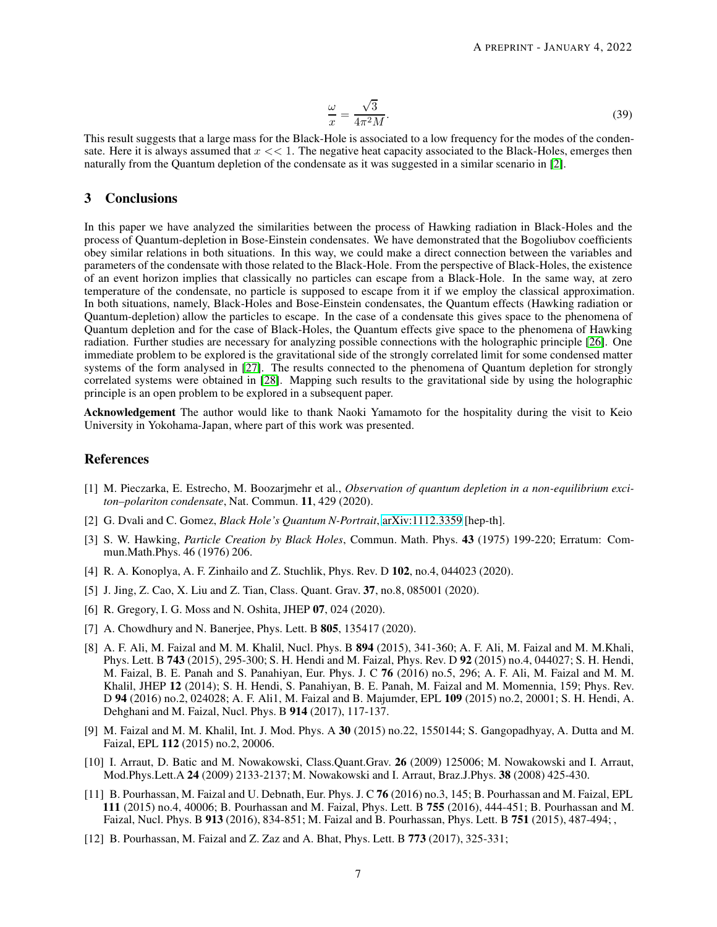$$
\frac{\omega}{x} = \frac{\sqrt{3}}{4\pi^2 M}.\tag{39}
$$

This result suggests that a large mass for the Black-Hole is associated to a low frequency for the modes of the condensate. Here it is always assumed that  $x \ll 1$ . The negative heat capacity associated to the Black-Holes, emerges then naturally from the Quantum depletion of the condensate as it was suggested in a similar scenario in [\[2\]](#page-6-1).

# 3 Conclusions

In this paper we have analyzed the similarities between the process of Hawking radiation in Black-Holes and the process of Quantum-depletion in Bose-Einstein condensates. We have demonstrated that the Bogoliubov coefficients obey similar relations in both situations. In this way, we could make a direct connection between the variables and parameters of the condensate with those related to the Black-Hole. From the perspective of Black-Holes, the existence of an event horizon implies that classically no particles can escape from a Black-Hole. In the same way, at zero temperature of the condensate, no particle is supposed to escape from it if we employ the classical approximation. In both situations, namely, Black-Holes and Bose-Einstein condensates, the Quantum effects (Hawking radiation or Quantum-depletion) allow the particles to escape. In the case of a condensate this gives space to the phenomena of Quantum depletion and for the case of Black-Holes, the Quantum effects give space to the phenomena of Hawking radiation. Further studies are necessary for analyzing possible connections with the holographic principle [\[26\]](#page-7-13). One immediate problem to be explored is the gravitational side of the strongly correlated limit for some condensed matter systems of the form analysed in [\[27\]](#page-7-14). The results connected to the phenomena of Quantum depletion for strongly correlated systems were obtained in [\[28\]](#page-7-15). Mapping such results to the gravitational side by using the holographic principle is an open problem to be explored in a subsequent paper.

Acknowledgement The author would like to thank Naoki Yamamoto for the hospitality during the visit to Keio University in Yokohama-Japan, where part of this work was presented.

# <span id="page-6-0"></span>References

- [1] M. Pieczarka, E. Estrecho, M. Boozarjmehr et al., *Observation of quantum depletion in a non-equilibrium exciton–polariton condensate*, Nat. Commun. 11, 429 (2020).
- <span id="page-6-2"></span><span id="page-6-1"></span>[2] G. Dvali and C. Gomez, *Black Hole's Quantum N-Portrait*, [arXiv:1112.3359](http://arxiv.org/abs/1112.3359) [hep-th].
- [3] S. W. Hawking, *Particle Creation by Black Holes*, Commun. Math. Phys. 43 (1975) 199-220; Erratum: Commun.Math.Phys. 46 (1976) 206.
- <span id="page-6-4"></span><span id="page-6-3"></span>[4] R. A. Konoplya, A. F. Zinhailo and Z. Stuchlik, Phys. Rev. D 102, no.4, 044023 (2020).
- <span id="page-6-5"></span>[5] J. Jing, Z. Cao, X. Liu and Z. Tian, Class. Quant. Grav. 37, no.8, 085001 (2020).
- <span id="page-6-6"></span>[6] R. Gregory, I. G. Moss and N. Oshita, JHEP 07, 024 (2020).
- <span id="page-6-7"></span>[7] A. Chowdhury and N. Banerjee, Phys. Lett. B **805**, 135417 (2020).
- [8] A. F. Ali, M. Faizal and M. M. Khalil, Nucl. Phys. B 894 (2015), 341-360; A. F. Ali, M. Faizal and M. M.Khali, Phys. Lett. B 743 (2015), 295-300; S. H. Hendi and M. Faizal, Phys. Rev. D 92 (2015) no.4, 044027; S. H. Hendi, M. Faizal, B. E. Panah and S. Panahiyan, Eur. Phys. J. C 76 (2016) no.5, 296; A. F. Ali, M. Faizal and M. M. Khalil, JHEP 12 (2014); S. H. Hendi, S. Panahiyan, B. E. Panah, M. Faizal and M. Momennia, 159; Phys. Rev. D 94 (2016) no.2, 024028; A. F. Ali1, M. Faizal and B. Majumder, EPL 109 (2015) no.2, 20001; S. H. Hendi, A. Dehghani and M. Faizal, Nucl. Phys. B 914 (2017), 117-137.
- <span id="page-6-8"></span>[9] M. Faizal and M. M. Khalil, Int. J. Mod. Phys. A 30 (2015) no.22, 1550144; S. Gangopadhyay, A. Dutta and M. Faizal, EPL 112 (2015) no.2, 20006.
- <span id="page-6-9"></span>[10] I. Arraut, D. Batic and M. Nowakowski, Class.Quant.Grav. 26 (2009) 125006; M. Nowakowski and I. Arraut, Mod.Phys.Lett.A 24 (2009) 2133-2137; M. Nowakowski and I. Arraut, Braz.J.Phys. 38 (2008) 425-430.
- <span id="page-6-10"></span>[11] B. Pourhassan, M. Faizal and U. Debnath, Eur. Phys. J. C 76 (2016) no.3, 145; B. Pourhassan and M. Faizal, EPL 111 (2015) no.4, 40006; B. Pourhassan and M. Faizal, Phys. Lett. B 755 (2016), 444-451; B. Pourhassan and M. Faizal, Nucl. Phys. B 913 (2016), 834-851; M. Faizal and B. Pourhassan, Phys. Lett. B 751 (2015), 487-494; ,
- <span id="page-6-11"></span>[12] B. Pourhassan, M. Faizal and Z. Zaz and A. Bhat, Phys. Lett. B 773 (2017), 325-331;